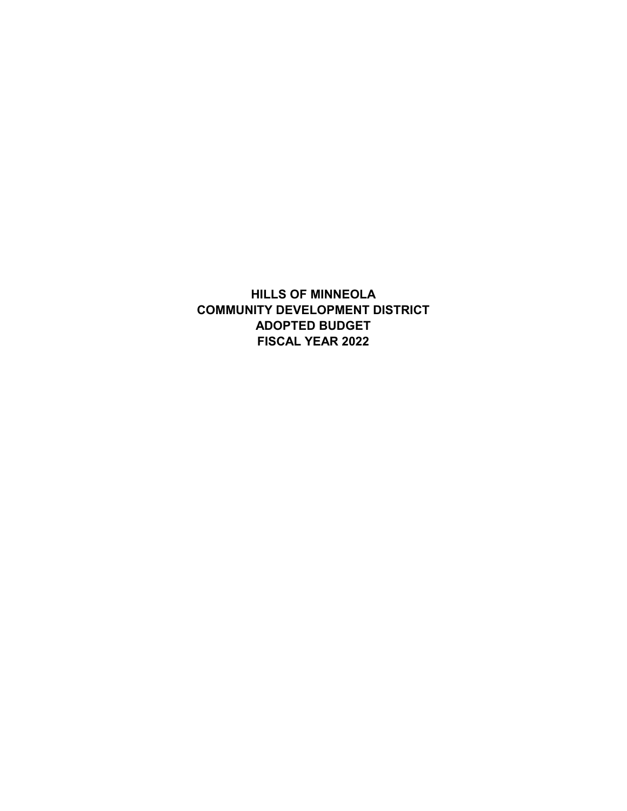**HILLS OF MINNEOLA COMMUNITY DEVELOPMENT DISTRICT ADOPTED BUDGET FISCAL YEAR 2022**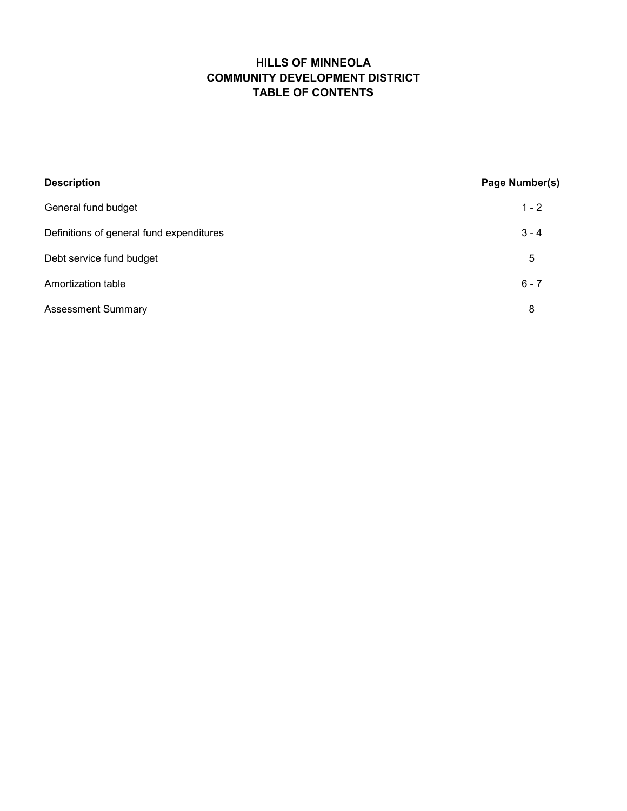## **HILLS OF MINNEOLA TABLE OF CONTENTS COMMUNITY DEVELOPMENT DISTRICT**

| <b>Description</b>                       | Page Number(s) |
|------------------------------------------|----------------|
| General fund budget                      | $1 - 2$        |
| Definitions of general fund expenditures | $3 - 4$        |
| Debt service fund budget                 | 5              |
| Amortization table                       | $6 - 7$        |
| <b>Assessment Summary</b>                | 8              |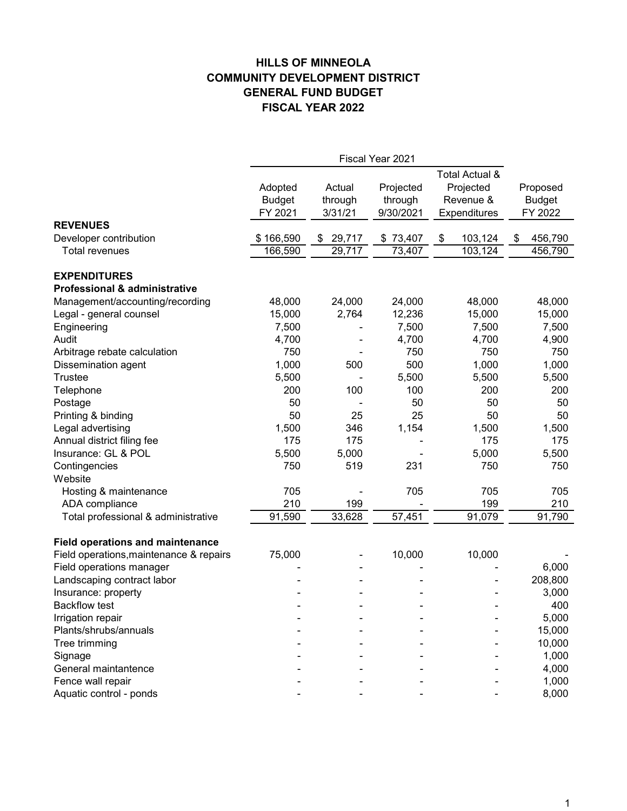## **HILLS OF MINNEOLA GENERAL FUND BUDGET FISCAL YEAR 2022 COMMUNITY DEVELOPMENT DISTRICT**

|                                         |               |              |           | Total Actual & |               |
|-----------------------------------------|---------------|--------------|-----------|----------------|---------------|
|                                         | Adopted       | Actual       | Projected | Projected      | Proposed      |
|                                         | <b>Budget</b> | through      | through   | Revenue &      | <b>Budget</b> |
|                                         | FY 2021       | 3/31/21      | 9/30/2021 | Expenditures   | FY 2022       |
| <b>REVENUES</b>                         |               |              |           |                |               |
| Developer contribution                  | \$166,590     | 29,717<br>\$ | \$73,407  | 103,124<br>\$  | 456,790<br>\$ |
| Total revenues                          | 166,590       | 29,717       | 73,407    | 103, 124       | 456,790       |
| <b>EXPENDITURES</b>                     |               |              |           |                |               |
| Professional & administrative           |               |              |           |                |               |
| Management/accounting/recording         | 48,000        | 24,000       | 24,000    | 48,000         | 48,000        |
| Legal - general counsel                 | 15,000        | 2,764        | 12,236    | 15,000         | 15,000        |
| Engineering                             | 7,500         |              | 7,500     | 7,500          | 7,500         |
| Audit                                   | 4,700         |              | 4,700     | 4,700          | 4,900         |
| Arbitrage rebate calculation            | 750           |              | 750       | 750            | 750           |
| Dissemination agent                     | 1,000         | 500          | 500       | 1,000          | 1,000         |
| <b>Trustee</b>                          | 5,500         |              | 5,500     | 5,500          | 5,500         |
| Telephone                               | 200           | 100          | 100       | 200            | 200           |
| Postage                                 | 50            |              | 50        | 50             | 50            |
| Printing & binding                      | 50            | 25           | 25        | 50             | 50            |
| Legal advertising                       | 1,500         | 346          | 1,154     | 1,500          | 1,500         |
| Annual district filing fee              | 175           | 175          |           | 175            | 175           |
| Insurance: GL & POL                     | 5,500         | 5,000        |           | 5,000          | 5,500         |
| Contingencies                           | 750           | 519          | 231       | 750            | 750           |
| Website                                 |               |              |           |                |               |
| Hosting & maintenance                   | 705           |              | 705       | 705            | 705           |
| ADA compliance                          | 210           | 199          |           | 199            | 210           |
| Total professional & administrative     | 91,590        | 33,628       | 57,451    | 91,079         | 91,790        |
| <b>Field operations and maintenance</b> |               |              |           |                |               |
| Field operations, maintenance & repairs | 75,000        |              | 10,000    | 10,000         |               |
| Field operations manager                |               |              |           |                | 6,000         |
| Landscaping contract labor              |               |              |           |                | 208,800       |
| Insurance: property                     |               |              |           |                | 3,000         |
| <b>Backflow test</b>                    |               |              |           |                | 400           |
| Irrigation repair                       |               |              |           |                | 5,000         |
| Plants/shrubs/annuals                   |               |              |           |                | 15,000        |
| Tree trimming                           |               |              |           |                | 10,000        |
| Signage                                 |               |              |           |                | 1,000         |
| General maintantence                    |               |              |           |                | 4,000         |
| Fence wall repair                       |               |              |           |                | 1,000         |
| Aquatic control - ponds                 |               |              |           |                | 8,000         |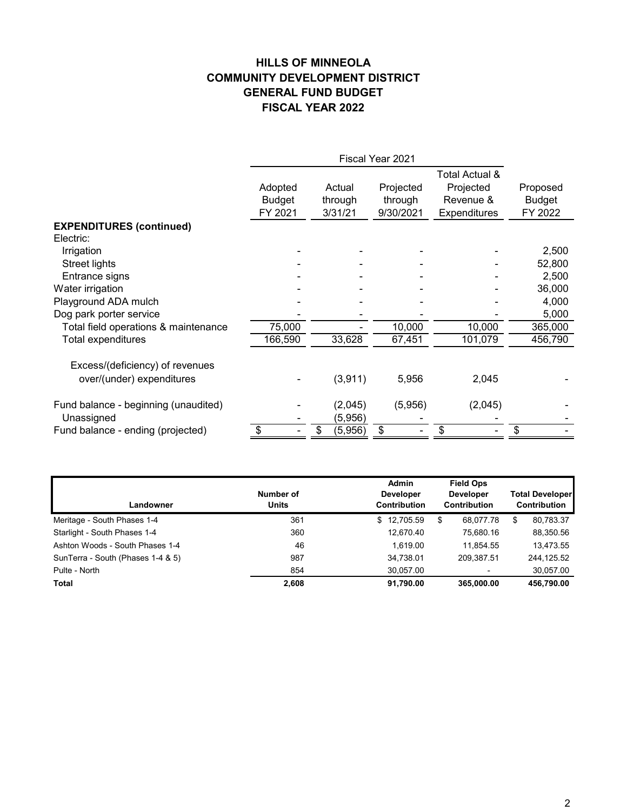## **HILLS OF MINNEOLA GENERAL FUND BUDGET FISCAL YEAR 2022 COMMUNITY DEVELOPMENT DISTRICT**

|                                      | Adopted       | Actual        | Projected | Projected    | Proposed      |
|--------------------------------------|---------------|---------------|-----------|--------------|---------------|
|                                      | <b>Budget</b> | through       | through   | Revenue &    | <b>Budget</b> |
|                                      | FY 2021       | 3/31/21       | 9/30/2021 | Expenditures | FY 2022       |
| <b>EXPENDITURES (continued)</b>      |               |               |           |              |               |
| Electric:                            |               |               |           |              |               |
| Irrigation                           |               |               |           |              | 2,500         |
| Street lights                        |               |               |           |              | 52,800        |
| Entrance signs                       |               |               |           |              | 2,500         |
| Water irrigation                     |               |               |           |              | 36,000        |
| Playground ADA mulch                 |               |               |           |              | 4,000         |
| Dog park porter service              |               |               |           |              | 5,000         |
| Total field operations & maintenance | 75,000        |               | 10,000    | 10,000       | 365,000       |
| Total expenditures                   | 166,590       | 33,628        | 67,451    | 101,079      | 456,790       |
| Excess/(deficiency) of revenues      |               |               |           |              |               |
| over/(under) expenditures            |               | (3,911)       | 5,956     | 2,045        |               |
| Fund balance - beginning (unaudited) |               | (2,045)       | (5,956)   | (2,045)      |               |
| Unassigned                           |               | (5,956)       |           |              |               |
| Fund balance - ending (projected)    |               | (5,956)<br>\$ | S         | \$           | \$            |

| Landowner                         | Number of<br><b>Units</b> | <b>Admin</b><br><b>Developer</b><br><b>Contribution</b> | <b>Field Ops</b><br><b>Developer</b><br><b>Contribution</b> | <b>Total Developer</b><br><b>Contribution</b> |
|-----------------------------------|---------------------------|---------------------------------------------------------|-------------------------------------------------------------|-----------------------------------------------|
| Meritage - South Phases 1-4       | 361                       | \$12,705.59                                             | \$<br>68,077.78                                             | \$<br>80,783.37                               |
| Starlight - South Phases 1-4      | 360                       | 12.670.40                                               | 75.680.16                                                   | 88,350.56                                     |
| Ashton Woods - South Phases 1-4   | 46                        | 1.619.00                                                | 11.854.55                                                   | 13,473.55                                     |
| SunTerra - South (Phases 1-4 & 5) | 987                       | 34,738.01                                               | 209.387.51                                                  | 244,125.52                                    |
| Pulte - North                     | 854                       | 30,057.00                                               | $\overline{a}$                                              | 30,057.00                                     |
| <b>Total</b>                      | 2.608                     | 91,790.00                                               | 365,000.00                                                  | 456,790.00                                    |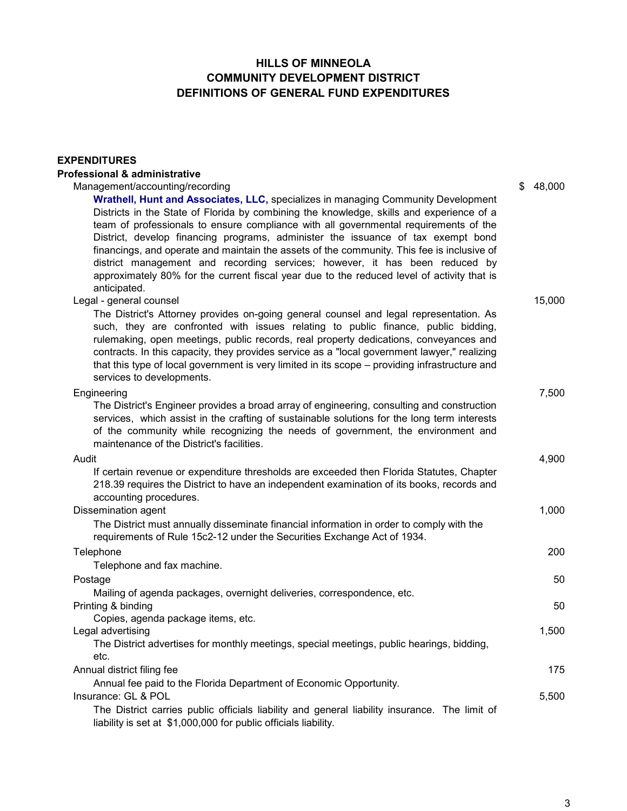### **HILLS OF MINNEOLA DEFINITIONS OF GENERAL FUND EXPENDITURES COMMUNITY DEVELOPMENT DISTRICT**

# **Professional & administrative** Management/accounting/recording  $$ 48,000$ **Wrathell, Hunt and Associates, LLC,** specializes in managing Community Development

**EXPENDITURES**

Districts in the State of Florida by combining the knowledge, skills and experience of a team of professionals to ensure compliance with all governmental requirements of the District, develop financing programs, administer the issuance of tax exempt bond financings, and operate and maintain the assets of the community. This fee is inclusive of district management and recording services; however, it has been reduced by approximately 80% for the current fiscal year due to the reduced level of activity that is anticipated.

#### Legal - general counsel 15,000

The District's Attorney provides on-going general counsel and legal representation. As such, they are confronted with issues relating to public finance, public bidding, rulemaking, open meetings, public records, real property dedications, conveyances and contracts. In this capacity, they provides service as a "local government lawyer," realizing that this type of local government is very limited in its scope – providing infrastructure and services to developments.

#### Engineering 7,500 Audit 4,900 Dissemination agent 1,000 Telephone 200 Telephone and fax machine. Postage 50 and 50 and 50 and 50 and 50 and 50 and 50 and 50 and 50 and 50 and 50 and 50 and 50 and 50 and 50 and 50 Printing & binding 50 Copies, agenda package items, etc. Legal advertising 1,500 Annual district filing fee 175 Annual fee paid to the Florida Department of Economic Opportunity. Insurance: GL & POL 5,500 The District's Engineer provides a broad array of engineering, consulting and construction services, which assist in the crafting of sustainable solutions for the long term interests of the community while recognizing the needs of government, the environment and maintenance of the District's facilities. If certain revenue or expenditure thresholds are exceeded then Florida Statutes, Chapter 218.39 requires the District to have an independent examination of its books, records and accounting procedures. The District carries public officials liability and general liability insurance. The limit of liability is set at \$1,000,000 for public officials liability. The District must annually disseminate financial information in order to comply with the requirements of Rule 15c2-12 under the Securities Exchange Act of 1934. The District advertises for monthly meetings, special meetings, public hearings, bidding, etc. Mailing of agenda packages, overnight deliveries, correspondence, etc.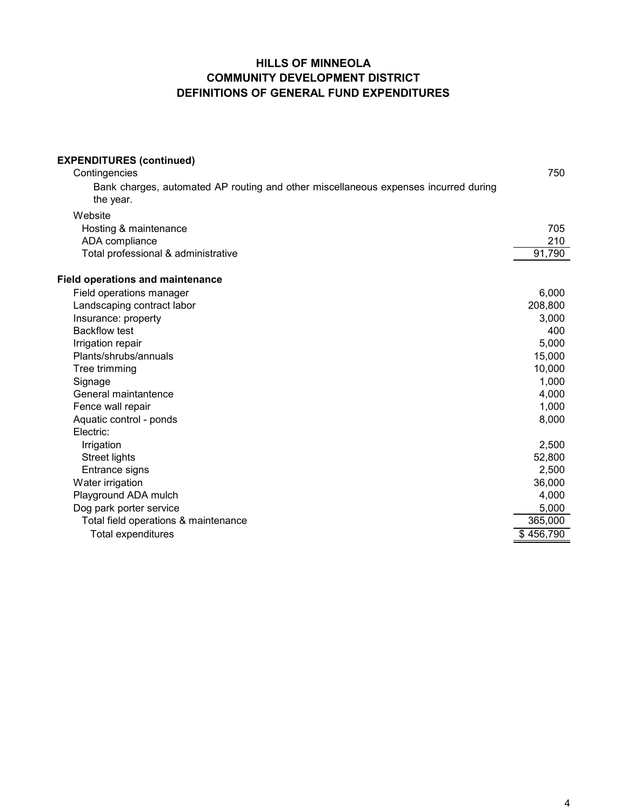## **HILLS OF MINNEOLA DEFINITIONS OF GENERAL FUND EXPENDITURES COMMUNITY DEVELOPMENT DISTRICT**

| <b>EXPENDITURES (continued)</b>                                                                  |           |
|--------------------------------------------------------------------------------------------------|-----------|
| Contingencies                                                                                    | 750       |
| Bank charges, automated AP routing and other miscellaneous expenses incurred during<br>the year. |           |
| Website                                                                                          |           |
| Hosting & maintenance                                                                            | 705       |
| ADA compliance                                                                                   | 210       |
| Total professional & administrative                                                              | 91,790    |
| <b>Field operations and maintenance</b>                                                          |           |
| Field operations manager                                                                         | 6,000     |
| Landscaping contract labor                                                                       | 208,800   |
| Insurance: property                                                                              | 3,000     |
| <b>Backflow test</b>                                                                             | 400       |
| Irrigation repair                                                                                | 5,000     |
| Plants/shrubs/annuals                                                                            | 15,000    |
| Tree trimming                                                                                    | 10,000    |
| Signage                                                                                          | 1,000     |
| General maintantence                                                                             | 4,000     |
| Fence wall repair                                                                                | 1,000     |
| Aquatic control - ponds                                                                          | 8,000     |
| Electric:                                                                                        |           |
| Irrigation                                                                                       | 2,500     |
| <b>Street lights</b>                                                                             | 52,800    |
| Entrance signs                                                                                   | 2,500     |
| Water irrigation                                                                                 | 36,000    |
| Playground ADA mulch                                                                             | 4,000     |
| Dog park porter service                                                                          | 5,000     |
| Total field operations & maintenance                                                             | 365,000   |
| Total expenditures                                                                               | \$456,790 |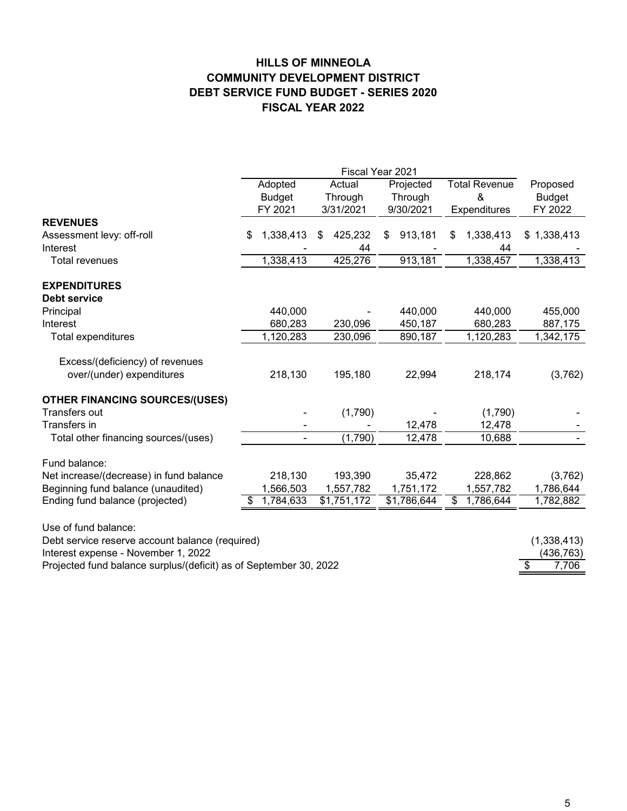## **HILLS OF MINNEOLA COMMUNITY DEVELOPMENT DISTRICT DEBT SERVICE FUND BUDGET - SERIES 2020 FISCAL YEAR 2022**

|                                                                   | Fiscal Year 2021 |                |        |             |           |             |                      |              |               |
|-------------------------------------------------------------------|------------------|----------------|--------|-------------|-----------|-------------|----------------------|--------------|---------------|
|                                                                   | Adopted          |                | Actual |             | Projected |             | <b>Total Revenue</b> | Proposed     |               |
|                                                                   |                  | <b>Budget</b>  |        | Through     |           | Through     |                      | &            | <b>Budget</b> |
|                                                                   |                  | FY 2021        |        | 3/31/2021   |           | 9/30/2021   |                      | Expenditures | FY 2022       |
| <b>REVENUES</b>                                                   |                  |                |        |             |           |             |                      |              |               |
| Assessment levy: off-roll                                         | S                | 1,338,413      | \$     | 425,232     | S         | 913,181     | S                    | 1,338,413    | \$1,338,413   |
| Interest                                                          |                  |                |        | 44          |           |             |                      | 44           |               |
| <b>Total revenues</b>                                             |                  | 1,338,413      |        | 425,276     |           | 913,181     |                      | 1,338,457    | 1,338,413     |
| <b>EXPENDITURES</b>                                               |                  |                |        |             |           |             |                      |              |               |
| <b>Debt service</b>                                               |                  |                |        |             |           |             |                      |              |               |
| Principal                                                         |                  | 440,000        |        |             |           | 440,000     |                      | 440,000      | 455,000       |
| Interest                                                          |                  | 680,283        |        | 230,096     |           | 450,187     |                      | 680,283      | 887,175       |
| Total expenditures                                                |                  | 1,120,283      |        | 230,096     |           | 890,187     |                      | 1,120,283    | 1,342,175     |
| Excess/(deficiency) of revenues                                   |                  |                |        |             |           |             |                      |              |               |
| over/(under) expenditures                                         |                  | 218,130        |        | 195,180     |           | 22,994      |                      | 218,174      | (3,762)       |
| <b>OTHER FINANCING SOURCES/(USES)</b>                             |                  |                |        |             |           |             |                      |              |               |
| Transfers out                                                     |                  |                |        | (1,790)     |           |             |                      | (1,790)      |               |
| Transfers in                                                      |                  |                |        |             |           | 12,478      |                      | 12,478       |               |
| Total other financing sources/(uses)                              |                  | $\blacksquare$ |        | (1,790)     |           | 12,478      |                      | 10,688       |               |
| Fund balance:                                                     |                  |                |        |             |           |             |                      |              |               |
| Net increase/(decrease) in fund balance                           |                  | 218,130        |        | 193,390     |           | 35,472      |                      | 228,862      | (3,762)       |
| Beginning fund balance (unaudited)                                |                  | 1,566,503      |        | 1,557,782   |           | 1,751,172   |                      | 1,557,782    | 1,786,644     |
| Ending fund balance (projected)                                   | S.               | 1,784,633      |        | \$1,751,172 |           | \$1,786,644 | \$                   | 1,786,644    | 1,782,882     |
| Use of fund balance:                                              |                  |                |        |             |           |             |                      |              |               |
| Debt service reserve account balance (required)                   |                  |                |        |             |           |             |                      |              | (1,338,413)   |
| Interest expense - November 1, 2022                               |                  |                |        |             |           |             |                      |              | (436,763)     |
| Projected fund balance surplus/(deficit) as of September 30, 2022 |                  |                |        |             |           |             |                      |              | \$<br>7,706   |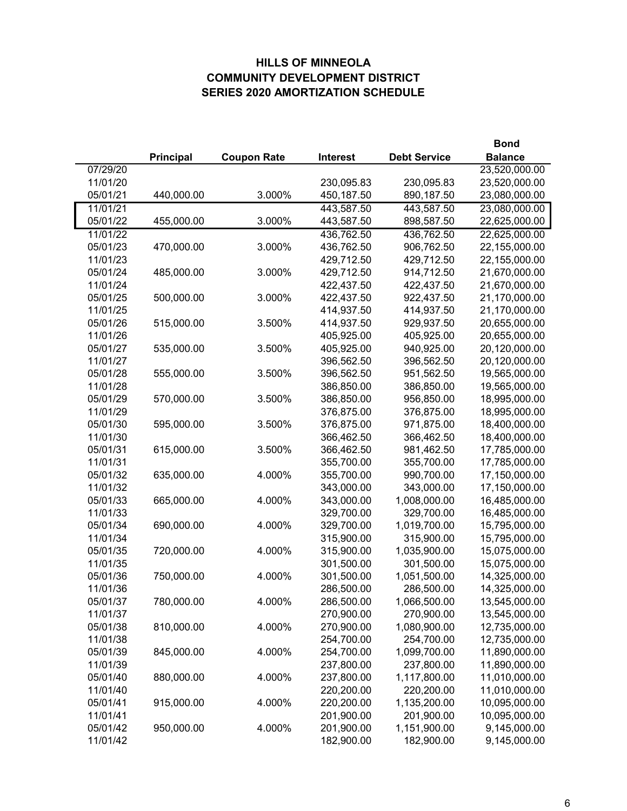## **HILLS OF MINNEOLA COMMUNITY DEVELOPMENT DISTRICT SERIES 2020 AMORTIZATION SCHEDULE**

|          |            |                    |                 |                     | <b>Bond</b>    |
|----------|------------|--------------------|-----------------|---------------------|----------------|
|          | Principal  | <b>Coupon Rate</b> | <b>Interest</b> | <b>Debt Service</b> | <b>Balance</b> |
| 07/29/20 |            |                    |                 |                     | 23,520,000.00  |
| 11/01/20 |            |                    | 230,095.83      | 230,095.83          | 23,520,000.00  |
| 05/01/21 | 440,000.00 | 3.000%             | 450,187.50      | 890,187.50          | 23,080,000.00  |
| 11/01/21 |            |                    | 443,587.50      | 443,587.50          | 23,080,000.00  |
| 05/01/22 | 455,000.00 | 3.000%             | 443,587.50      | 898,587.50          | 22,625,000.00  |
| 11/01/22 |            |                    | 436,762.50      | 436,762.50          | 22,625,000.00  |
| 05/01/23 | 470,000.00 | 3.000%             | 436,762.50      | 906,762.50          | 22,155,000.00  |
| 11/01/23 |            |                    | 429,712.50      | 429,712.50          | 22,155,000.00  |
| 05/01/24 | 485,000.00 | 3.000%             | 429,712.50      | 914,712.50          | 21,670,000.00  |
| 11/01/24 |            |                    | 422,437.50      | 422,437.50          | 21,670,000.00  |
| 05/01/25 | 500,000.00 | 3.000%             | 422,437.50      | 922,437.50          | 21,170,000.00  |
| 11/01/25 |            |                    | 414,937.50      | 414,937.50          | 21,170,000.00  |
| 05/01/26 | 515,000.00 | 3.500%             | 414,937.50      | 929,937.50          | 20,655,000.00  |
| 11/01/26 |            |                    |                 | 405,925.00          | 20,655,000.00  |
|          |            |                    | 405,925.00      |                     |                |
| 05/01/27 | 535,000.00 | 3.500%             | 405,925.00      | 940,925.00          | 20,120,000.00  |
| 11/01/27 |            |                    | 396,562.50      | 396,562.50          | 20,120,000.00  |
| 05/01/28 | 555,000.00 | 3.500%             | 396,562.50      | 951,562.50          | 19,565,000.00  |
| 11/01/28 |            |                    | 386,850.00      | 386,850.00          | 19,565,000.00  |
| 05/01/29 | 570,000.00 | 3.500%             | 386,850.00      | 956,850.00          | 18,995,000.00  |
| 11/01/29 |            |                    | 376,875.00      | 376,875.00          | 18,995,000.00  |
| 05/01/30 | 595,000.00 | 3.500%             | 376,875.00      | 971,875.00          | 18,400,000.00  |
| 11/01/30 |            |                    | 366,462.50      | 366,462.50          | 18,400,000.00  |
| 05/01/31 | 615,000.00 | 3.500%             | 366,462.50      | 981,462.50          | 17,785,000.00  |
| 11/01/31 |            |                    | 355,700.00      | 355,700.00          | 17,785,000.00  |
| 05/01/32 | 635,000.00 | 4.000%             | 355,700.00      | 990,700.00          | 17,150,000.00  |
| 11/01/32 |            |                    | 343,000.00      | 343,000.00          | 17,150,000.00  |
| 05/01/33 | 665,000.00 | 4.000%             | 343,000.00      | 1,008,000.00        | 16,485,000.00  |
| 11/01/33 |            |                    | 329,700.00      | 329,700.00          | 16,485,000.00  |
| 05/01/34 | 690,000.00 | 4.000%             | 329,700.00      | 1,019,700.00        | 15,795,000.00  |
| 11/01/34 |            |                    | 315,900.00      | 315,900.00          | 15,795,000.00  |
| 05/01/35 | 720,000.00 | 4.000%             | 315,900.00      | 1,035,900.00        | 15,075,000.00  |
| 11/01/35 |            |                    | 301,500.00      | 301,500.00          | 15,075,000.00  |
| 05/01/36 | 750,000.00 | 4.000%             | 301,500.00      | 1,051,500.00        | 14,325,000.00  |
| 11/01/36 |            |                    | 286,500.00      | 286,500.00          | 14,325,000.00  |
| 05/01/37 | 780,000.00 | 4.000%             | 286,500.00      | 1,066,500.00        | 13,545,000.00  |
| 11/01/37 |            |                    | 270,900.00      | 270,900.00          | 13,545,000.00  |
| 05/01/38 | 810,000.00 | 4.000%             | 270,900.00      | 1,080,900.00        | 12,735,000.00  |
| 11/01/38 |            |                    | 254,700.00      | 254,700.00          | 12,735,000.00  |
| 05/01/39 | 845,000.00 | 4.000%             | 254,700.00      | 1,099,700.00        | 11,890,000.00  |
| 11/01/39 |            |                    | 237,800.00      | 237,800.00          | 11,890,000.00  |
| 05/01/40 | 880,000.00 | 4.000%             | 237,800.00      | 1,117,800.00        | 11,010,000.00  |
| 11/01/40 |            |                    | 220,200.00      | 220,200.00          | 11,010,000.00  |
| 05/01/41 | 915,000.00 | 4.000%             | 220,200.00      | 1,135,200.00        | 10,095,000.00  |
| 11/01/41 |            |                    | 201,900.00      | 201,900.00          | 10,095,000.00  |
| 05/01/42 | 950,000.00 | 4.000%             | 201,900.00      | 1,151,900.00        | 9,145,000.00   |
| 11/01/42 |            |                    | 182,900.00      | 182,900.00          | 9,145,000.00   |
|          |            |                    |                 |                     |                |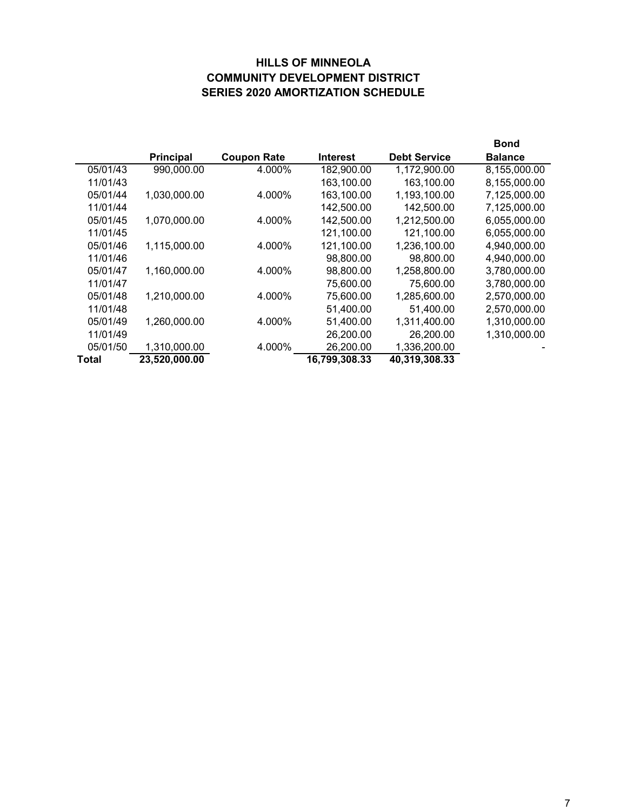## **HILLS OF MINNEOLA COMMUNITY DEVELOPMENT DISTRICT SERIES 2020 AMORTIZATION SCHEDULE**

|          |                  |                    |               |                     | <b>Bond</b>    |
|----------|------------------|--------------------|---------------|---------------------|----------------|
|          | <b>Principal</b> | <b>Coupon Rate</b> | Interest      | <b>Debt Service</b> | <b>Balance</b> |
| 05/01/43 | 990,000.00       | 4.000%             | 182,900.00    | 1,172,900.00        | 8,155,000.00   |
| 11/01/43 |                  |                    | 163,100.00    | 163,100.00          | 8,155,000.00   |
| 05/01/44 | 1,030,000.00     | 4.000%             | 163,100.00    | 1,193,100.00        | 7,125,000.00   |
| 11/01/44 |                  |                    | 142,500.00    | 142,500.00          | 7,125,000.00   |
| 05/01/45 | 1,070,000.00     | 4.000%             | 142,500.00    | 1,212,500.00        | 6,055,000.00   |
| 11/01/45 |                  |                    | 121,100.00    | 121,100.00          | 6,055,000.00   |
| 05/01/46 | 1,115,000.00     | 4.000%             | 121,100.00    | 1,236,100.00        | 4,940,000.00   |
| 11/01/46 |                  |                    | 98,800.00     | 98,800.00           | 4,940,000.00   |
| 05/01/47 | 1,160,000.00     | 4.000%             | 98,800.00     | 1,258,800.00        | 3,780,000.00   |
| 11/01/47 |                  |                    | 75,600.00     | 75,600.00           | 3,780,000.00   |
| 05/01/48 | 1,210,000.00     | 4.000%             | 75,600.00     | 1,285,600.00        | 2,570,000.00   |
| 11/01/48 |                  |                    | 51,400.00     | 51,400.00           | 2,570,000.00   |
| 05/01/49 | 1,260,000.00     | 4.000%             | 51,400.00     | 1,311,400.00        | 1,310,000.00   |
| 11/01/49 |                  |                    | 26,200.00     | 26,200.00           | 1,310,000.00   |
| 05/01/50 | 1,310,000.00     | 4.000%             | 26,200.00     | 1,336,200.00        |                |
| Total    | 23,520,000.00    |                    | 16,799,308.33 | 40,319,308.33       |                |